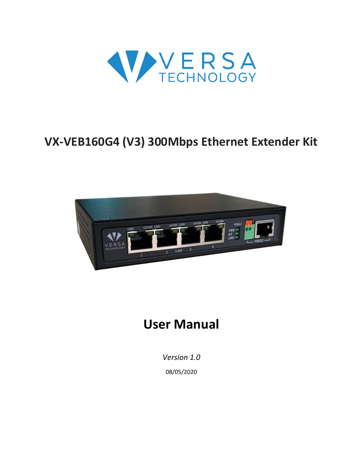

# **VX-VEB160G4 (V3) 300Mbps Ethernet Extender Kit**



# **User Manual**

*Version 1.0* 08/05/2020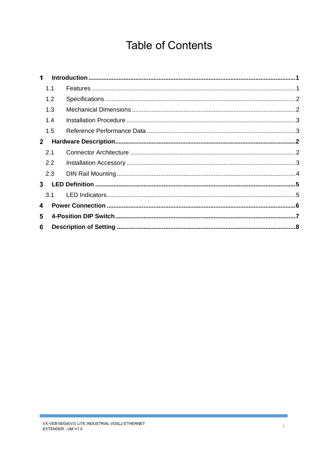## **Table of Contents**

| 1.1 |                                               |  |
|-----|-----------------------------------------------|--|
| 1.2 |                                               |  |
| 1.3 |                                               |  |
| 1.4 |                                               |  |
| 1.5 |                                               |  |
|     |                                               |  |
|     |                                               |  |
|     |                                               |  |
|     |                                               |  |
|     |                                               |  |
| 3.1 |                                               |  |
|     |                                               |  |
|     |                                               |  |
|     |                                               |  |
|     | 2.1<br>$2.2^{\circ}$<br>2.3<br>3 <sup>1</sup> |  |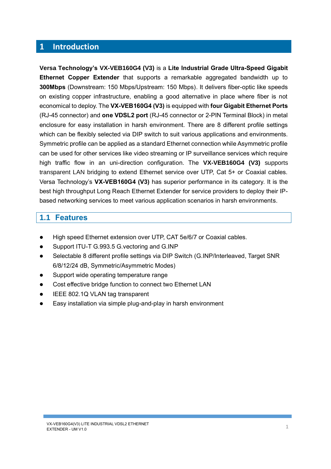#### <span id="page-2-0"></span> $\overline{\mathbf{1}}$ **Introduction**

**Versa Technology's VX-VEB160G4 (V3)** is a **Lite Industrial Grade Ultra-Speed Gigabit Ethernet Copper Extender** that supports a remarkable aggregated bandwidth up to **300Mbps** (Downstream: 150 Mbps/Upstream: 150 Mbps). It delivers fiber-optic like speeds on existing copper infrastructure, enabling a good alternative in place where fiber is not economical to deploy. The **VX-VEB160G4 (V3)** is equipped with **four Gigabit Ethernet Ports** (RJ-45 connector) and **one VDSL2 port** (RJ-45 connector or 2-PIN Terminal Block) in metal enclosure for easy installation in harsh environment. There are 8 different profile settings which can be flexibly selected via DIP switch to suit various applications and environments. Symmetric profile can be applied as a standard Ethernet connection while Asymmetric profile can be used for other services like video streaming or IP surveillance services which require high traffic flow in an uni-direction configuration. The **VX-VEB160G4 (V3)** supports transparent LAN bridging to extend Ethernet service over UTP, Cat 5+ or Coaxial cables. Versa Technology's **VX-VEB160G4 (V3)** has superior performance in its category. It is the best high throughput Long Reach Ethernet Extender for service providers to deploy their IPbased networking services to meet various application scenarios in harsh environments.

### <span id="page-2-1"></span>**1.1 Features**

- High speed Ethernet extension over UTP, CAT 5e/6/7 or Coaxial cables.
- ⚫ Support ITU-T G.993.5 G.vectoring and G.INP
- Selectable 8 different profile settings via DIP Switch (G.INP/Interleaved, Target SNR 6/8/12/24 dB, Symmetric/Asymmetric Modes)
- ⚫ Support wide operating temperature range
- Cost effective bridge function to connect two Ethernet LAN
- IEEE 802.1Q VLAN tag transparent
- ⚫ Easy installation via simple plug-and-play in harsh environment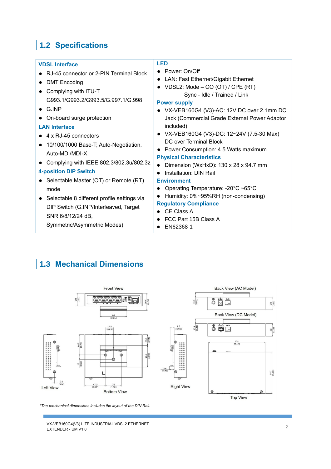## <span id="page-3-0"></span>**1.2 Specifications**

### <span id="page-3-1"></span>**1.3 Mechanical Dimensions**



*\*The mechanical dimensions includes the layout of the DIN Rail.*

VX-VEB160G4(V3) LITE INDUSTRIAL VDSL2 ETHERNET VX-VEB160G4(V3) LITE INDUSTRIAL VDSL2 ETHERNET<br>EXTENDER - UM V1.0 2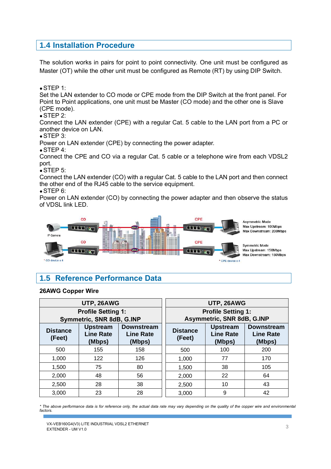#### <span id="page-4-0"></span>**1.4 Installation Procedure**

The solution works in pairs for point to point connectivity. One unit must be configured as Master (OT) while the other unit must be configured as Remote (RT) by using DIP Switch.

 $\bullet$  STFP 1:

Set the LAN extender to CO mode or CPE mode from the DIP Switch at the front panel. For Point to Point applications, one unit must be Master (CO mode) and the other one is Slave (CPE mode).

 $\bullet$  STEP 2:

Connect the LAN extender (CPE) with a regular Cat. 5 cable to the LAN port from a PC or another device on LAN.

 $\bullet$  STEP 3:

Power on LAN extender (CPE) by connecting the power adapter.

 $\bullet$  STEP 4:

Connect the CPE and CO via a regular Cat. 5 cable or a telephone wire from each VDSL2 port.

 $\bullet$  STEP 5:

Connect the LAN extender (CO) with a regular Cat. 5 cable to the LAN port and then connect the other end of the RJ45 cable to the service equipment.

 $\bullet$  STEP 6:

Power on LAN extender (CO) by connecting the power adapter and then observe the status of VDSL link LED.



### <span id="page-4-1"></span>**1.5 Reference Performance Data**

#### **26AWG Copper Wire**

|                                                                                                                               | UTP, 26AWG                |     | UTP, 26AWG                                              |                                               |                                                 |  |
|-------------------------------------------------------------------------------------------------------------------------------|---------------------------|-----|---------------------------------------------------------|-----------------------------------------------|-------------------------------------------------|--|
|                                                                                                                               | <b>Profile Setting 1:</b> |     | <b>Profile Setting 1:</b><br>Asymmetric, SNR 8dB, G.INP |                                               |                                                 |  |
|                                                                                                                               | Symmetric, SNR 8dB, G.INP |     |                                                         |                                               |                                                 |  |
| <b>Upstream</b><br><b>Downstream</b><br><b>Distance</b><br><b>Line Rate</b><br><b>Line Rate</b><br>(Feet)<br>(Mbps)<br>(Mbps) |                           |     | <b>Distance</b><br>(Feet)                               | <b>Upstream</b><br><b>Line Rate</b><br>(Mbps) | <b>Downstream</b><br><b>Line Rate</b><br>(Mbps) |  |
| 500                                                                                                                           | 155                       | 158 | 500                                                     | 100                                           | 200                                             |  |
| 1,000                                                                                                                         | 122                       | 126 | 1,000                                                   | 77                                            | 170                                             |  |
| 1,500                                                                                                                         | 75                        | 80  | 1,500                                                   | 38                                            | 105                                             |  |
| 2,000                                                                                                                         | 48                        | 56  | 2,000                                                   | 22                                            | 64                                              |  |
| 2,500                                                                                                                         | 28                        | 38  | 2,500                                                   | 10                                            | 43                                              |  |
| 3,000                                                                                                                         | 23                        | 28  | 3,000                                                   | 9                                             | 42                                              |  |

*\* The above performance data is for reference only, the actual data rate may vary depending on the quality of the copper wire and environmental factors.*

VX-VEB160G4(V3) LITE INDUSTRIAL VDSL2 ETHERNET extenditions and the model matrix when the contract the contract of the contract of the contract of the contract of the contract of the contract of the contract of the contract of the contract of the contract of the contra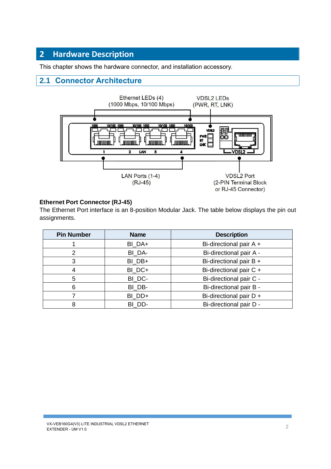#### <span id="page-5-0"></span> $\overline{2}$ **Hardware Description**

This chapter shows the hardware connector, and installation accessory.

### <span id="page-5-1"></span>**2.1 Connector Architecture**



#### **Ethernet Port Connector (RJ-45)**

The Ethernet Port interface is an 8-position Modular Jack. The table below displays the pin out assignments.

| <b>Pin Number</b> | <b>Name</b> | <b>Description</b>      |
|-------------------|-------------|-------------------------|
|                   | BI_DA+      | Bi-directional pair A + |
| 2                 | BI DA-      | Bi-directional pair A - |
| 3                 | BI DB+      | Bi-directional pair B + |
| 4                 | BI DC+      | Bi-directional pair C + |
| 5                 | BI_DC-      | Bi-directional pair C - |
| 6                 | BI DB-      | Bi-directional pair B - |
|                   | BI DD+      | Bi-directional pair D + |
| 8                 | BI DD-      | Bi-directional pair D - |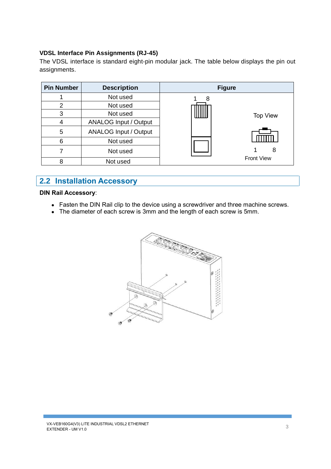#### **VDSL Interface Pin Assignments (RJ-45)**

The VDSL interface is standard eight-pin modular jack. The table below displays the pin out assignments.

| <b>Pin Number</b> | <b>Description</b>           | <b>Figure</b>     |  |
|-------------------|------------------------------|-------------------|--|
|                   | Not used                     | 8                 |  |
| 2                 | Not used                     |                   |  |
| 3                 | Not used                     | <b>Top View</b>   |  |
| 4                 | <b>ANALOG Input / Output</b> |                   |  |
| 5                 | <b>ANALOG Input / Output</b> |                   |  |
| 6                 | Not used                     |                   |  |
|                   | Not used                     | 8                 |  |
| 8                 | Not used                     | <b>Front View</b> |  |

### <span id="page-6-0"></span>**2.2 Installation Accessory**

#### **DIN Rail Accessory**:

- Fasten the DIN Rail clip to the device using a screwdriver and three machine screws.
- The diameter of each screw is 3mm and the length of each screw is 5mm.

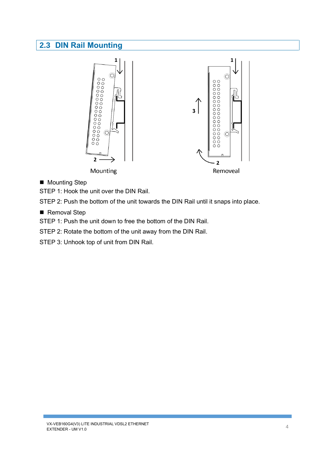### <span id="page-7-0"></span>**2.3 DIN Rail Mounting**



■ Mounting Step

STEP 1: Hook the unit over the DIN Rail.

STEP 2: Push the bottom of the unit towards the DIN Rail until it snaps into place.

■ Removal Step

STEP 1: Push the unit down to free the bottom of the DIN Rail.

STEP 2: Rotate the bottom of the unit away from the DIN Rail.

STEP 3: Unhook top of unit from DIN Rail.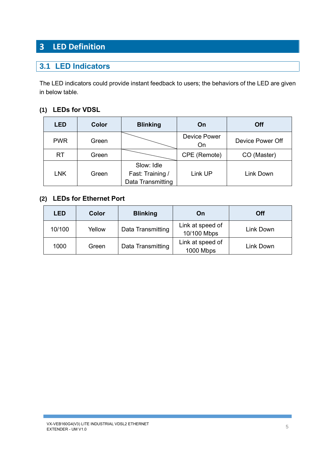#### <span id="page-8-0"></span>**LED Definition**  $\overline{\mathbf{3}}$

### <span id="page-8-1"></span>**3.1 LED Indicators**

The LED indicators could provide instant feedback to users; the behaviors of the LED are given in below table.

#### **(1) LEDs for VDSL**

| <b>LED</b> | Color | <b>Blinking</b>                                     | On                        | Off              |  |
|------------|-------|-----------------------------------------------------|---------------------------|------------------|--|
| <b>PWR</b> | Green |                                                     | <b>Device Power</b><br>On | Device Power Off |  |
| <b>RT</b>  | Green |                                                     | CPE (Remote)              | CO (Master)      |  |
| <b>LNK</b> | Green | Slow: Idle<br>Fast: Training /<br>Data Transmitting | Link UP                   | Link Down        |  |

#### **(2) LEDs for Ethernet Port**

| <b>LED</b> | Color  | <b>Blinking</b>   | On                              | <b>Off</b> |
|------------|--------|-------------------|---------------------------------|------------|
| 10/100     | Yellow | Data Transmitting | Link at speed of<br>10/100 Mbps | Link Down  |
| 1000       | Green  | Data Transmitting | Link at speed of<br>1000 Mbps   | Link Down  |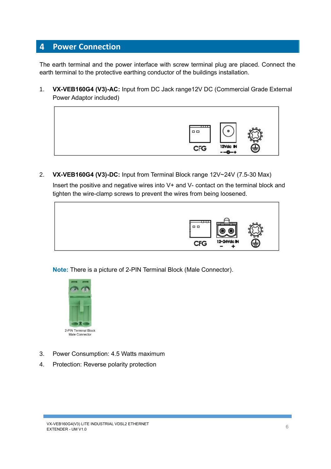#### <span id="page-9-0"></span>**Power Connection**  $\overline{4}$

The earth terminal and the power interface with screw terminal plug are placed. Connect the earth terminal to the protective earthing conductor of the buildings installation.

1. **VX-VEB160G4 (V3)-AC:** Input from DC Jack range12V DC (Commercial Grade External Power Adaptor included)



2. **VX-VEB160G4 (V3)-DC:** Input from Terminal Block range 12V~24V (7.5-30 Max)

Insert the positive and negative wires into V+ and V- contact on the terminal block and tighten the wire-clamp screws to prevent the wires from being loosened.



**Note:** There is a picture of 2-PIN Terminal Block (Male Connector).



- 3. Power Consumption: 4.5 Watts maximum
- 4. Protection: Reverse polarity protection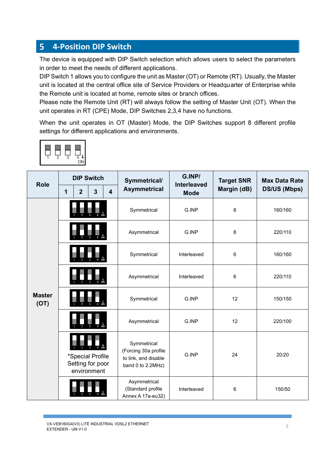#### <span id="page-10-0"></span>**4-Position DIP Switch**  $5\phantom{a}$

The device is equipped with DIP Switch selection which allows users to select the parameters in order to meet the needs of different applications.

DIP Switch 1 allows you to configure the unit as Master (OT) or Remote (RT). Usually, the Master unit is located at the central office site of Service Providers or Headquarter of Enterprise while the Remote unit is located at home, remote sites or branch offices.

Please note the Remote Unit (RT) will always follow the setting of Master Unit (OT). When the unit operates in RT (CPE) Mode, DIP Switches 2,3,4 have no functions.

When the unit operates in OT (Master) Mode, the DIP Switches support 8 different profile settings for different applications and environments.

|--|--|--|

| <b>Role</b>           | <b>DIP Switch</b> |                |                                                     |                         | Symmetrical/                                                                     | G.INP/                            | <b>Target SNR</b> | <b>Max Data Rate</b> |
|-----------------------|-------------------|----------------|-----------------------------------------------------|-------------------------|----------------------------------------------------------------------------------|-----------------------------------|-------------------|----------------------|
|                       | 1                 | $\overline{2}$ | $\mathbf{3}$                                        | $\overline{\mathbf{4}}$ | <b>Asymmetrical</b>                                                              | <b>Interleaved</b><br><b>Mode</b> | Margin (dB)       | <b>DS/US (Mbps)</b>  |
|                       |                   |                |                                                     |                         | Symmetrical                                                                      | G.INP                             | 8                 | 160/160              |
|                       |                   |                |                                                     |                         | Asymmetrical                                                                     | G.INP                             | 8                 | 220/110              |
|                       |                   |                |                                                     |                         | Symmetrical                                                                      | Interleaved                       | 6                 | 160/160              |
|                       |                   |                |                                                     |                         | Asymmetrical                                                                     | Interleaved                       | 6                 | 220/110              |
| <b>Master</b><br>(OT) |                   |                |                                                     |                         | Symmetrical                                                                      | G.INP                             | 12                | 150/150              |
|                       |                   |                |                                                     |                         | Asymmetrical                                                                     | G.INP                             | 12                | 220/100              |
|                       |                   |                | *Special Profile<br>Setting for poor<br>environment |                         | Symmetrical<br>(Forcing 30a profile<br>to link, and disable<br>band 0 to 2.2MHz) | G.INP                             | 24                | 20/20                |
|                       |                   |                |                                                     |                         | Asymmetrical<br>(Standard profile<br>Annex A 17a-eu32)                           | Interleaved                       | 6                 | 150/50               |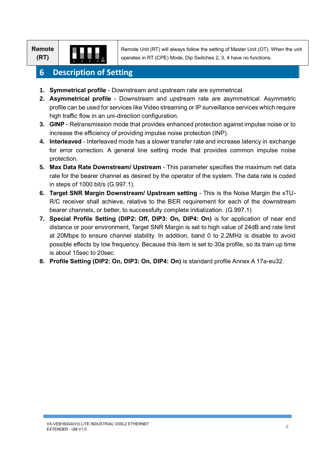**Remote (RT)**



Remote Unit (RT) will always follow the setting of Master Unit (OT). When the unit operates in RT (CPE) Mode, Dip Switches 2, 3, 4 have no functions.

#### <span id="page-11-0"></span>6 **Description of Setting**

- **1. Symmetrical profile** Downstream and upstream rate are symmetrical.
- **2. Asymmetrical profile** Downstream and upstream rate are asymmetrical. Asymmetric profile can be used for services like Video streaming or IP surveillance services which require high traffic flow in an uni-direction configuration.
- **3. GINP** Retransmission mode that provides enhanced protection against impulse noise or to increase the efficiency of providing impulse noise protection (INP).
- **4. Interleaved** Interleaved mode has a slower transfer rate and increase latency in exchange for error correction. A general line setting mode that provides common impulse noise protection.
- **5. Max Data Rate Downstream/ Upstream** This parameter specifies the maximum net data rate for the bearer channel as desired by the operator of the system. The data rate is coded in steps of 1000 bit/s (G.997.1).
- **6. Target SNR Margin Downstream/ Upstream setting** This is the Noise Margin the xTU-R/C receiver shall achieve, relative to the BER requirement for each of the downstream bearer channels, or better, to successfully complete initialization. (G.997.1)
- **7. Special Profile Setting (DIP2: Off, DIP3: On, DIP4: On)** is for application of near end distance or poor environment, Target SNR Margin is set to high value of 24dB and rate limit at 20Mbps to ensure channel stability. In addition, band 0 to 2.2MHz is disable to avoid possible effects by low frequency. Because this item is set to 30a profile, so its train up time is about 15sec to 20sec.
- **8. Profile Setting (DIP2: On, DIP3: On, DIP4: On)** is standard profile Annex A 17a-eu32.